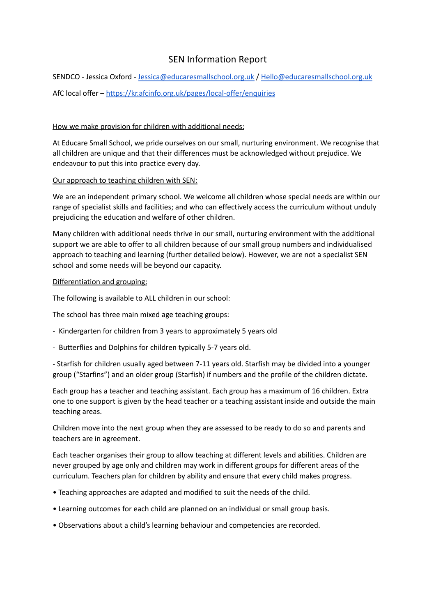# SEN Information Report

SENDCO - Jessica Oxford - [Jessica@educaresmallschool.org.uk](mailto:Jessica@educaremsllschool.org.uk) / [Hello@educaresmallschool.org.uk](mailto:Hello@educaresmallschool.org.uk) AfC local offer – <https://kr.afcinfo.org.uk/pages/local-offer/enquiries>

### How we make provision for children with additional needs:

At Educare Small School, we pride ourselves on our small, nurturing environment. We recognise that all children are unique and that their differences must be acknowledged without prejudice. We endeavour to put this into practice every day.

### Our approach to teaching children with SEN:

We are an independent primary school. We welcome all children whose special needs are within our range of specialist skills and facilities; and who can effectively access the curriculum without unduly prejudicing the education and welfare of other children.

Many children with additional needs thrive in our small, nurturing environment with the additional support we are able to offer to all children because of our small group numbers and individualised approach to teaching and learning (further detailed below). However, we are not a specialist SEN school and some needs will be beyond our capacity.

#### Differentiation and grouping:

The following is available to ALL children in our school:

The school has three main mixed age teaching groups:

- Kindergarten for children from 3 years to approximately 5 years old
- Butterflies and Dolphins for children typically 5-7 years old.

- Starfish for children usually aged between 7-11 years old. Starfish may be divided into a younger group ("Starfins") and an older group (Starfish) if numbers and the profile of the children dictate.

Each group has a teacher and teaching assistant. Each group has a maximum of 16 children. Extra one to one support is given by the head teacher or a teaching assistant inside and outside the main teaching areas.

Children move into the next group when they are assessed to be ready to do so and parents and teachers are in agreement.

Each teacher organises their group to allow teaching at different levels and abilities. Children are never grouped by age only and children may work in different groups for different areas of the curriculum. Teachers plan for children by ability and ensure that every child makes progress.

- Teaching approaches are adapted and modified to suit the needs of the child.
- Learning outcomes for each child are planned on an individual or small group basis.
- Observations about a child's learning behaviour and competencies are recorded.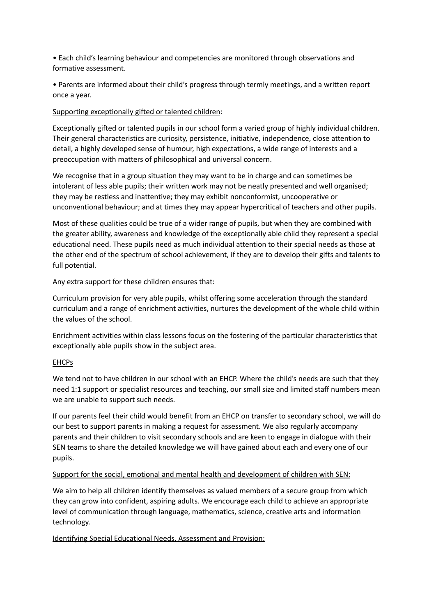• Each child's learning behaviour and competencies are monitored through observations and formative assessment.

• Parents are informed about their child's progress through termly meetings, and a written report once a year.

### Supporting exceptionally gifted or talented children:

Exceptionally gifted or talented pupils in our school form a varied group of highly individual children. Their general characteristics are curiosity, persistence, initiative, independence, close attention to detail, a highly developed sense of humour, high expectations, a wide range of interests and a preoccupation with matters of philosophical and universal concern.

We recognise that in a group situation they may want to be in charge and can sometimes be intolerant of less able pupils; their written work may not be neatly presented and well organised; they may be restless and inattentive; they may exhibit nonconformist, uncooperative or unconventional behaviour; and at times they may appear hypercritical of teachers and other pupils.

Most of these qualities could be true of a wider range of pupils, but when they are combined with the greater ability, awareness and knowledge of the exceptionally able child they represent a special educational need. These pupils need as much individual attention to their special needs as those at the other end of the spectrum of school achievement, if they are to develop their gifts and talents to full potential.

Any extra support for these children ensures that:

Curriculum provision for very able pupils, whilst offering some acceleration through the standard curriculum and a range of enrichment activities, nurtures the development of the whole child within the values of the school.

Enrichment activities within class lessons focus on the fostering of the particular characteristics that exceptionally able pupils show in the subject area.

#### EHCPs

We tend not to have children in our school with an EHCP. Where the child's needs are such that they need 1:1 support or specialist resources and teaching, our small size and limited staff numbers mean we are unable to support such needs.

If our parents feel their child would benefit from an EHCP on transfer to secondary school, we will do our best to support parents in making a request for assessment. We also regularly accompany parents and their children to visit secondary schools and are keen to engage in dialogue with their SEN teams to share the detailed knowledge we will have gained about each and every one of our pupils.

#### Support for the social, emotional and mental health and development of children with SEN:

We aim to help all children identify themselves as valued members of a secure group from which they can grow into confident, aspiring adults. We encourage each child to achieve an appropriate level of communication through language, mathematics, science, creative arts and information technology.

Identifying Special Educational Needs, Assessment and Provision: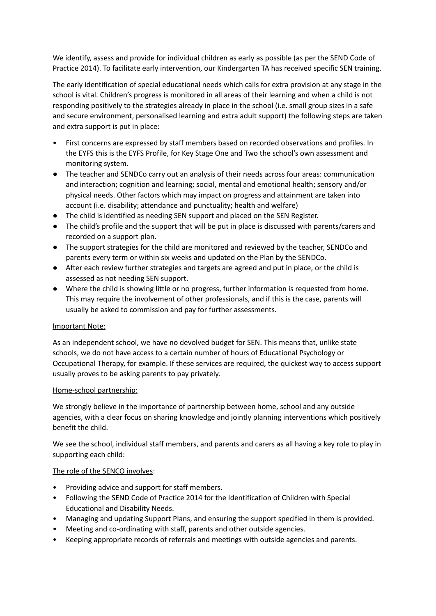We identify, assess and provide for individual children as early as possible (as per the SEND Code of Practice 2014). To facilitate early intervention, our Kindergarten TA has received specific SEN training.

The early identification of special educational needs which calls for extra provision at any stage in the school is vital. Children's progress is monitored in all areas of their learning and when a child is not responding positively to the strategies already in place in the school (i.e. small group sizes in a safe and secure environment, personalised learning and extra adult support) the following steps are taken and extra support is put in place:

- First concerns are expressed by staff members based on recorded observations and profiles. In the EYFS this is the EYFS Profile, for Key Stage One and Two the school's own assessment and monitoring system.
- The teacher and SENDCo carry out an analysis of their needs across four areas: communication and interaction; cognition and learning; social, mental and emotional health; sensory and/or physical needs. Other factors which may impact on progress and attainment are taken into account (i.e. disability; attendance and punctuality; health and welfare)
- The child is identified as needing SEN support and placed on the SEN Register.
- The child's profile and the support that will be put in place is discussed with parents/carers and recorded on a support plan.
- The support strategies for the child are monitored and reviewed by the teacher, SENDCo and parents every term or within six weeks and updated on the Plan by the SENDCo.
- After each review further strategies and targets are agreed and put in place, or the child is assessed as not needing SEN support.
- Where the child is showing little or no progress, further information is requested from home. This may require the involvement of other professionals, and if this is the case, parents will usually be asked to commission and pay for further assessments.

# Important Note:

As an independent school, we have no devolved budget for SEN. This means that, unlike state schools, we do not have access to a certain number of hours of Educational Psychology or Occupational Therapy, for example. If these services are required, the quickest way to access support usually proves to be asking parents to pay privately.

#### Home-school partnership:

We strongly believe in the importance of partnership between home, school and any outside agencies, with a clear focus on sharing knowledge and jointly planning interventions which positively benefit the child.

We see the school, individual staff members, and parents and carers as all having a key role to play in supporting each child:

#### The role of the SENCO involves:

- Providing advice and support for staff members.
- Following the SEND Code of Practice 2014 for the Identification of Children with Special Educational and Disability Needs.
- Managing and updating Support Plans, and ensuring the support specified in them is provided.
- Meeting and co-ordinating with staff, parents and other outside agencies.
- Keeping appropriate records of referrals and meetings with outside agencies and parents.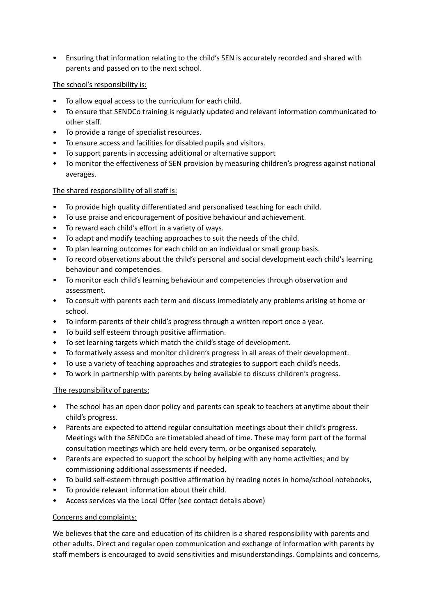• Ensuring that information relating to the child's SEN is accurately recorded and shared with parents and passed on to the next school.

# The school's responsibility is:

- To allow equal access to the curriculum for each child.
- To ensure that SENDCo training is regularly updated and relevant information communicated to other staff.
- To provide a range of specialist resources.
- To ensure access and facilities for disabled pupils and visitors.
- To support parents in accessing additional or alternative support
- To monitor the effectiveness of SEN provision by measuring children's progress against national averages.

# The shared responsibility of all staff is:

- To provide high quality differentiated and personalised teaching for each child.
- To use praise and encouragement of positive behaviour and achievement.
- To reward each child's effort in a variety of ways.
- To adapt and modify teaching approaches to suit the needs of the child.
- To plan learning outcomes for each child on an individual or small group basis.
- To record observations about the child's personal and social development each child's learning behaviour and competencies.
- To monitor each child's learning behaviour and competencies through observation and assessment.
- To consult with parents each term and discuss immediately any problems arising at home or school.
- To inform parents of their child's progress through a written report once a year.
- To build self esteem through positive affirmation.
- To set learning targets which match the child's stage of development.
- To formatively assess and monitor children's progress in all areas of their development.
- To use a variety of teaching approaches and strategies to support each child's needs.
- To work in partnership with parents by being available to discuss children's progress.

# The responsibility of parents:

- The school has an open door policy and parents can speak to teachers at anytime about their child's progress.
- Parents are expected to attend regular consultation meetings about their child's progress. Meetings with the SENDCo are timetabled ahead of time. These may form part of the formal consultation meetings which are held every term, or be organised separately.
- Parents are expected to support the school by helping with any home activities; and by commissioning additional assessments if needed.
- To build self-esteem through positive affirmation by reading notes in home/school notebooks,
- To provide relevant information about their child.
- Access services via the Local Offer (see contact details above)

# Concerns and complaints:

We believes that the care and education of its children is a shared responsibility with parents and other adults. Direct and regular open communication and exchange of information with parents by staff members is encouraged to avoid sensitivities and misunderstandings. Complaints and concerns,